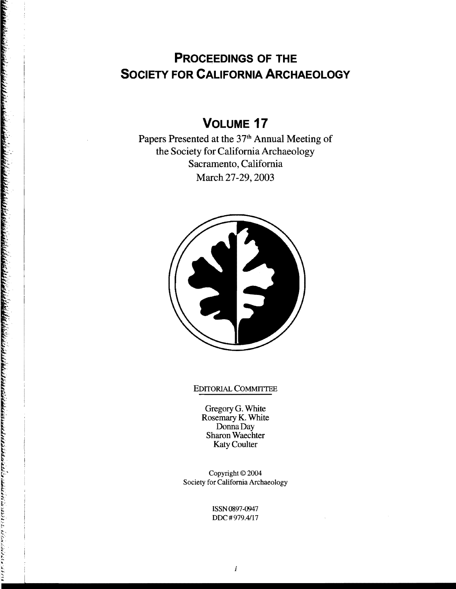# **PROCEEDINGS OF THE SOCIETY FOR CALIFORNIA ARCHAEOLOGY**

# **VOLUME 17**

Papers Presented at the 37<sup>th</sup> Annual Meeting of the Society for California Archaeology Sacramento, California March 27-29, 2003



## EDITORIAL COMMITTEE

GregoryG. White Rosemary K. White Donna Day Sharon Waechter Katy Coulter

Copyright © 2004 Society for California Archaeology

> ISSN 0897-0947 DDC#979.4/17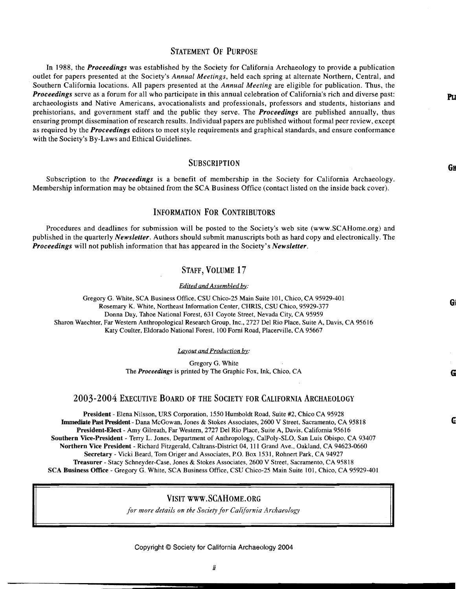## STATEMENT OF PURPOSE

In 1988, the *Proceedings* was established by the Society for California Archaeology to provide a publication outlet for papers presented at the Society's *Annual Meetings,* held each spring at alternate Northern, Central, and Southern California locations. All papers presented at the *AnnuaL Meeting* are eligible for publication. Thus, the *Proceedings* serve as a forum for all who participate in this annual celebration of California's rich and diverse past: archaeologists and Native Americans, avocationalists and professionals, professors and students, historians and prehistorians, and government staff and the public they serve. The *Proceedings* are published annually, thus ensuring prompt dissemination of research results. Individual papers are published without formal peer review, except as required by the *Proceedings* editors to meet style requirements and graphical standards, and ensure conformance with the Society's By-Laws and Ethical Guidelines.

#### **SUBSCRIPTION**

Subscription to the *Proceedings* is a benefit of membership in the Society for California Archaeology. Membership information may be obtained from the SCA Business Office (contact listed on the inside back cover).

## INFORMATION FOR CONTRIBUTORS

Procedures and deadlines for submission will be posted to the Society's web site (www.SCAHome.org) and published in the quarterly *Newsletter.* Authors should submit manuscripts both as hard copy and electronically. The *Proceedings* will not publish information that has appeared in the Society's *Newsletter.* 

### STAFF, VOLUME 17

#### *Edited and Assembled by:*

Gregory G. White, SCA Business Office, CSU Chico-25 Main Suite 101, Chico, CA 95929-401 Rosemary K. White, Northeast Information Center, CHRIS, CSU Chico, 95929-377 Donna Day, Tahoe National Forest, 631 Coyote Street, Nevada City. CA 95959 Sharon Waechter, Far Western Anthropological Research Group, Inc., 2727 Del Rio Place, Suite A, Davis, CA 95616 Katy Coulter, Eldorado National Forest, 100 Forni Road, Placerville, CA 95667

*Layout and Production by:* 

Gregory G. White The *Proceedings* is printed by The Graphic Fox, Ink, Chico, CA

## 2003-2004 EXECUTIVE BOARD OF THE SOCIETY FOR CALIFORNIA ARCHAEOLOGY

President - Elena Nilsson, URS Corporation, 1550 Humboldt Road, Suite #2, Chico CA 95928 Immediate Past President - Dana McGowan, Jones & Stokes Associates, 2600 V Street, Sacramento, CA 95818 President-Elect - Amy Gilreath, Far Western, 2727 Del Rio Place, Suite A, Davis, California 95616 Southern Vice-President - Terry L. Jones, Department of Anthropology, CalPoly-SLO, San Luis Obispo, CA 93407 Northern Vice President - Richard Fitzgerald, Caltrans-District 04, 111 Grand Ave., Oakland, CA 94623-0660 Secretary - Vicki Beard, Tom Origer and Associates, P.O. Box 1531, Rohnert Park, CA 94927 Treasurer - Stacy Schneyder-Case, Jones & Stokes Associates, 2600 V Street, Sacramento, CA 95818 SCA Business Office - Gregory G. White, SCA Business Office, CSU Chico-25 Main Suite 101, Chico, CA 95929-401

# VISIT www.SCAHoME.ORG

*for more details on the Society for California Archaeology* 

Copyright © Society for California Archaeology 2004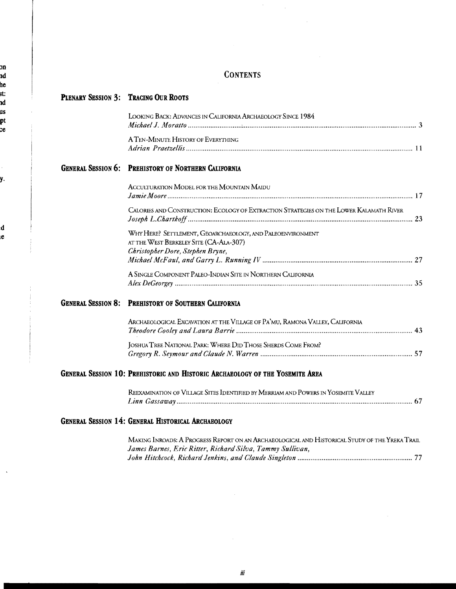# **CONTENTS**

 $\sim$ 

J.

| PLENARY SESSION 3: TRACING OUR ROOTS                                                                                                     |  |
|------------------------------------------------------------------------------------------------------------------------------------------|--|
| LOOKING BACK: ADVANCES IN CALIFORNIA ARCHAEOLOGY SINCE 1984                                                                              |  |
| ATEN-MINUTE HISTORY OF EVERYTHING                                                                                                        |  |
| <b>GENERAL SESSION 6: PREHISTORY OF NORTHERN CALIFORNIA</b>                                                                              |  |
| <b>ACCULTURATION MODEL FOR THE MOUNTAIN MAIDU</b>                                                                                        |  |
| CALORIES AND CONSTRUCTION: ECOLOGY OF EXTRACTION STRATEGIES ON THE LOWER KALAMATH RIVER                                                  |  |
| WHY HERE? SETTLEMENT, GEOARCHAEOLOGY, AND PALEOENVIRONMENT<br>AT THE WEST BERKELEY SITE (CA-ALA-307)<br>Christopher Dore, Stephen Bryne, |  |
| A SINGLE COMPONENT PALEO-INDIAN SITE IN NORTHERN CALIFORNIA                                                                              |  |
| <b>GENERAL SESSION 8: PREHISTORY OF SOUTHERN CALIFORNIA</b>                                                                              |  |
| ARCHAEOLOGICAL EXCAVATION AT THE VILLAGE OF PA'MU, RAMONA VALLEY, CALIFORNIA                                                             |  |
| JOSHUA TREE NATIONAL PARK: WHERE DID THOSE SHERDS COME FROM?                                                                             |  |
| GENERAL SESSION 10: PREHISTORIC AND HISTORIC ARCHAEOLOGY OF THE YOSEMITE AREA                                                            |  |
| REEXAMINATION OF VILLAGE SITES IDENTIFIED BY MERRIAM AND POWERS IN YOSEMITE VALLEY                                                       |  |
| <b>GENERAL SESSION 14: GENERAL HISTORICAL ARCHAEOLOGY</b>                                                                                |  |

MAKING INROADS: A PROGRESS REPORT ON AN ARCHAEOLOGICAL AND HISTORICAL STUDY OF THE YREKA TRAIL James Barnes, Eric Ritter, Richard Silva, Tammy Sullivan, 

 $\bar{\lambda}$ 

 $\hat{\mathcal{A}}$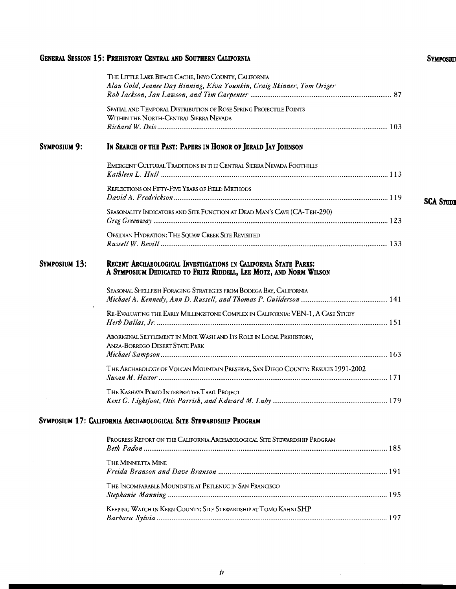# **GENERAL SESSION 15: PREHISTORY CENTRAL AND SOUTHERN CALIFORNIA**

|                     | THE LITTLE LAKE BIFACE CACHE, INYO COUNTY, CALIFORNIA<br>Alan Gold, Jeanee Day Binning, Elva Younkin, Craig Skinner, Tom Origer      |  |
|---------------------|--------------------------------------------------------------------------------------------------------------------------------------|--|
|                     | SPATIAL AND TEMPORAL DISTRIBUTION OF ROSE SPRING PROJECTILE POINTS<br>WITHIN THE NORTH-CENTRAL SIERRA NEVADA                         |  |
| <b>SYMPOSIUM 9:</b> | IN SEARCH OF THE PAST: PAPERS IN HONOR OF JERALD JAY JOHNSON                                                                         |  |
|                     | EMERGENT CULTURAL TRADITIONS IN THE CENTRAL SIERRA NEVADA FOOTHILLS                                                                  |  |
|                     | REFLECTIONS ON FIFTY-FIVE YEARS OF FIELD METHODS                                                                                     |  |
|                     | SEASONALITY INDICATORS AND SITE FUNCTION AT DEAD MAN'S CAVE (CA-TEH-290)                                                             |  |
|                     | OBSIDIAN HYDRATION: THE SQUAW CREEK SITE REVISITED                                                                                   |  |
| SYMPOSIUM 13:       | RECENT ARCHAEOLOGICAL INVESTIGATIONS IN CALIFORNIA STATE PARKS:<br>A SYMPOSIUM DEDICATED TO FRITZ RIDDELL, LEE MOTZ, AND NORM WILSON |  |
|                     | SEASONAL SHELLFISH FORAGING STRATEGIES FROM BODEGA BAY, CALIFORNIA                                                                   |  |
|                     | RE-EVALUATING THE EARLY MILLINGSTONE COMPLEX IN CALIFORNIA: VEN-1, A CASE STUDY                                                      |  |
|                     | ABORIGINAL SETTLEMENT IN MINE WASH AND ITS ROLE IN LOCAL PREHISTORY,<br><b>ANZA-BORREGO DESERT STATE PARK</b>                        |  |
|                     | THE ARCHAEOLOGY OF VOLCAN MOUNTAIN PRESERVE, SAN DIEGO COUNTY: RESULTS 1991-2002                                                     |  |
|                     | THE KASHAYA POMO INTERPRETIVE TRAIL PROJECT                                                                                          |  |
|                     | SYMPOSIUM 17: CALIFORNIA ARCHAEOLOGICAL SITE STEWARDSHIP PROGRAM                                                                     |  |
|                     | PROGRESS REPORT ON THE CALIFORNIA ARCHAEOLOGICAL SITE STEWARDSHIP PROGRAM                                                            |  |
|                     | THE MINNIETTA MINE                                                                                                                   |  |
|                     | THE INCOMPARABLE MOUNDSITE AT PETLENUC IN SAN FRANCISCO                                                                              |  |
|                     | KEEPING WATCH IN KERN COUNTY: SITE STEWARDSHIP AT TOMO KAHNI SHP                                                                     |  |

 $\sim$ 

 $\bar{\mathcal{A}}$